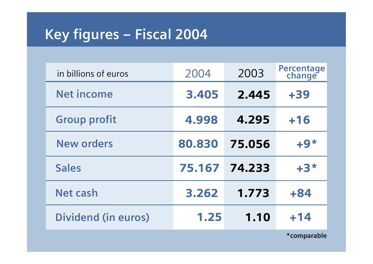# **Key figures – Fiscal 2004**

| in billions of euros       | 2004   | 2003   | Percentage<br>change |
|----------------------------|--------|--------|----------------------|
| <b>Net income</b>          | 3.405  | 2.445  | $+39$                |
| <b>Group profit</b>        | 4.998  | 4.295  | $+16$                |
| <b>New orders</b>          | 80.830 | 75.056 | $+9*$                |
| <b>Sales</b>               | 75.167 | 74.233 | $+3*$                |
| <b>Net cash</b>            | 3.262  | 1.773  | $+84$                |
| <b>Dividend (in euros)</b> | 1.25   | 1.10   | $+14$                |

**\*comparable**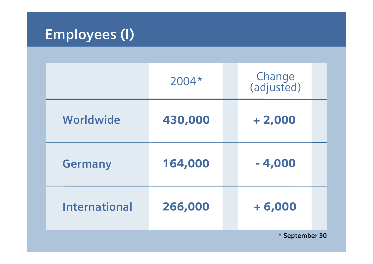# **Employees (I)**

|                      | 2004*   | Change<br>(adjusted) |  |  |  |
|----------------------|---------|----------------------|--|--|--|
| Worldwide            | 430,000 | $+2,000$             |  |  |  |
| <b>Germany</b>       | 164,000 | $-4,000$             |  |  |  |
| <b>International</b> | 266,000 | $+6,000$             |  |  |  |
| * September 30       |         |                      |  |  |  |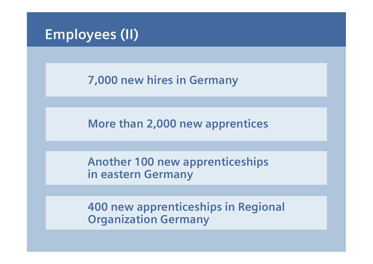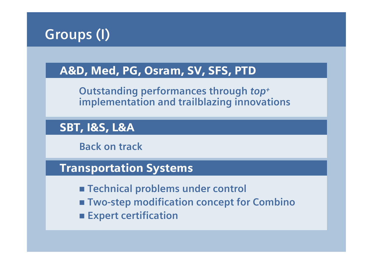

### A&D, Med, PG, Osram, SV, SFS, PTD

**Outstanding performances through** *top+* **implementation and trailblazing innovations**

### SBT, I&S, L&A

**Back on track**

### Transportation Systems

- **Technical problems under control**
- **Two-step modification concept for Combino**
- **Expert certification**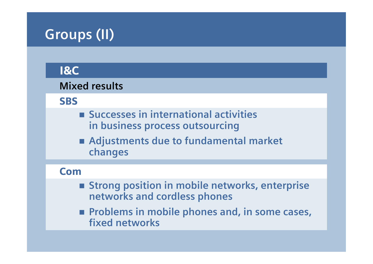# **Groups (II)**

### I&C

#### **Mixed results**

**SBS** 

- Successes in international activities **in business process outsourcing**
- **Adjustments due to fundamental market changes**

#### Com

- Strong position in mobile networks, enterprise **networks and cordless phones**
- Problems in mobile phones and, in some cases, **fixed networks**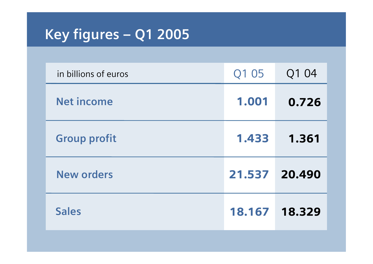# **Key figures – Q1 2005**

| in billions of euros | Q1 05         | Q1 04  |
|----------------------|---------------|--------|
| <b>Net income</b>    | 1.001         | 0.726  |
| <b>Group profit</b>  | 1.433         | 1.361  |
| <b>New orders</b>    | 21.537        | 20.490 |
| <b>Sales</b>         | 18.167 18.329 |        |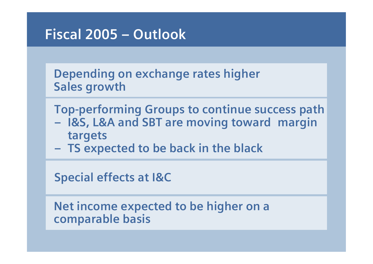## **Fiscal 2005 – Outlook**

**Depending on exchange rates higher Sales growth**

**Top-performing Groups to continue success path** 

- **– I&S, L&A and SBT are moving toward margin targets**
- **– TS expected to be back in the black**

**Special effects at I&C**

**Net income expected to be higher on a comparable basis**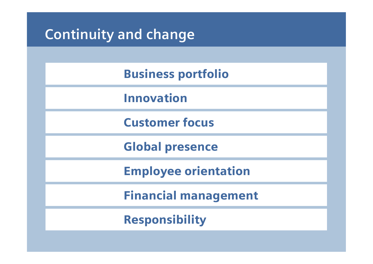## Business portfolio

Innovation

Customer focus

Global presence

Employee orientation

Financial management

Responsibility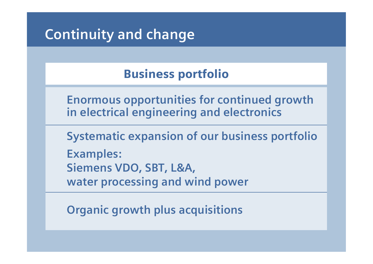## Business portfolio

**Enormous opportunities for continued growth in electrical engineering and electronics**

**Systematic expansion of our business portfolio Examples: Siemens VDO, SBT, L&A, water processing and wind power**

**Organic growth plus acquisitions**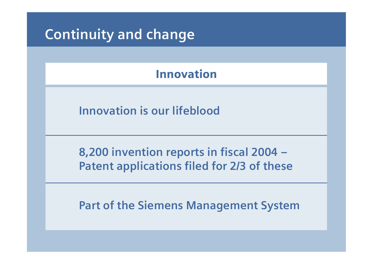### Innovation

**Innovation is our lifeblood**

**8,200 invention reports in fiscal 2004 – Patent applications filed for 2/3 of these**

**Part of the Siemens Management System**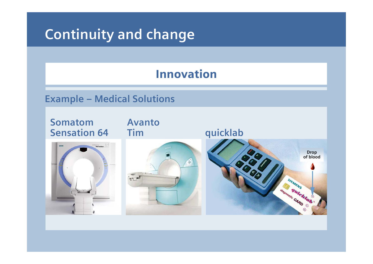### Innovation

#### **Example – Medical Solutions**

**SomatomAvanto Sensation 64Tim quicklab Drop of blood**SIEMIENS Summer Care Calendar **State Relate**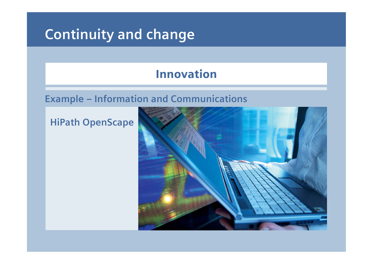### Innovation

#### **Example – Information and Communications**

#### **HiPath OpenScape**

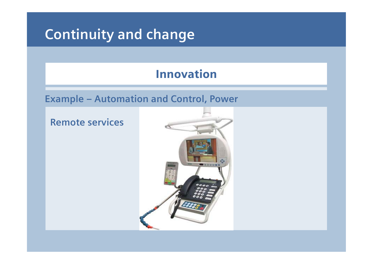### Innovation

**Example – Automation and Control, Power**

#### **Remote services**

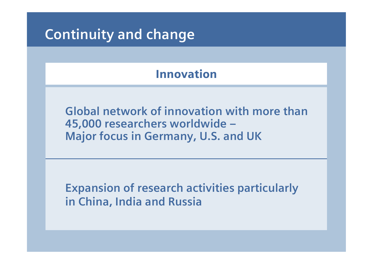### Innovation

**Global network of innovation with more than 45,000 researchers worldwide – Major focus in Germany, U.S. and UK**

**Expansion of research activities particularly in China, India and Russia**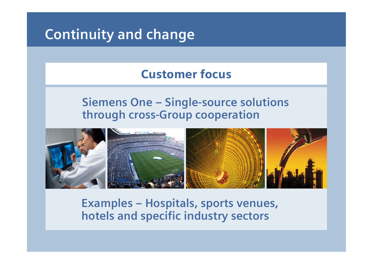### Customer focus

### **Siemens One – Single-source solutions through cross-Group cooperation**



### **Examples – Hospitals, sports venues, hotels and specific industry sectors**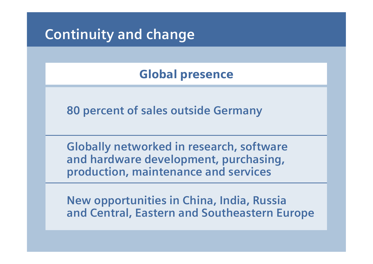## Global presence

**80 percent of sales outside Germany**

**Globally networked in research, software and hardware development, purchasing, production, maintenance and services**

**New opportunities in China, India, Russia and Central, Eastern and Southeastern Europe**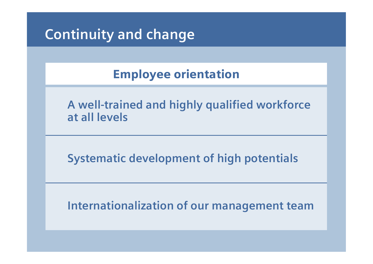## Employee orientation

**A well-trained and highly qualified workforce at all levels**

**Systematic development of high potentials**

**Internationalization of our management team**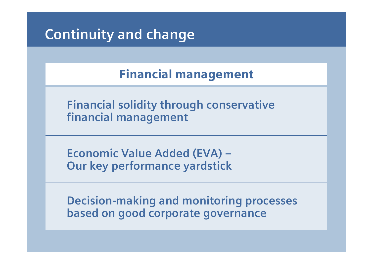Financial management

**Financial solidity through conservative financial management**

**Economic Value Added (EVA) – Our key performance yardstick**

**Decision-making and monitoring processes based on good corporate governance**